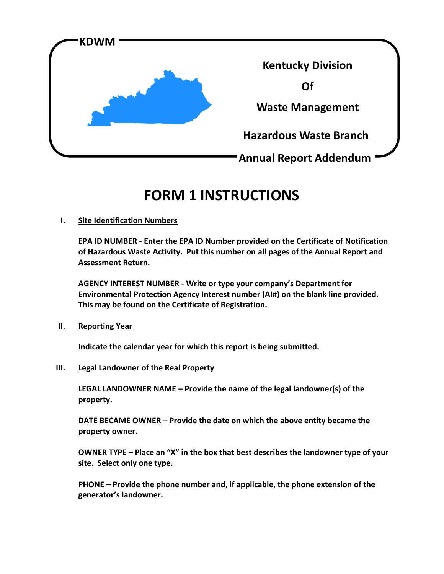

# **FORM 1 INSTRUCTIONS**

# **I. Site Identification Numbers**

**EPA ID NUMBER - Enter the EPA ID Number provided on the Certificate of Notification of Hazardous Waste Activity. Put this number on all pages of the Annual Report and Assessment Return.**

**AGENCY INTEREST NUMBER - Write or type your company's Department for Environmental Protection Agency Interest number (AI#) on the blank line provided. This may be found on the Certificate of Registration.** 

## **II. Reporting Year**

**Indicate the calendar year for which this report is being submitted.**

## **III. Legal Landowner of the Real Property**

**LEGAL LANDOWNER NAME – Provide the name of the legal landowner(s) of the property.**

**DATE BECAME OWNER – Provide the date on which the above entity became the property owner.**

**OWNER TYPE – Place an "X" in the box that best describes the landowner type of your site. Select only one type.**

**PHONE – Provide the phone number and, if applicable, the phone extension of the generator's landowner.**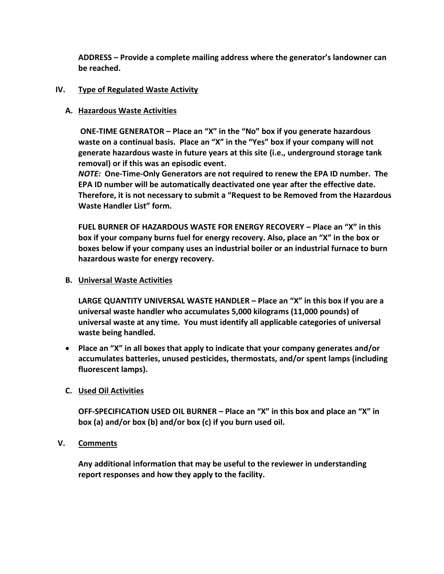**ADDRESS – Provide a complete mailing address where the generator's landowner can be reached.**

# **IV. Type of Regulated Waste Activity**

# **A. Hazardous Waste Activities**

**ONE-TIME GENERATOR – Place an "X" in the "No" box if you generate hazardous waste on a continual basis. Place an "X" in the "Yes" box if your company will not generate hazardous waste in future years at this site (i.e., underground storage tank removal) or if this was an episodic event.** 

*NOTE:* **One-Time-Only Generators are not required to renew the EPA ID number. The EPA ID number will be automatically deactivated one year after the effective date. Therefore, it is not necessary to submit a "Request to be Removed from the Hazardous Waste Handler List" form.** 

**FUEL BURNER OF HAZARDOUS WASTE FOR ENERGY RECOVERY – Place an "X" in this box if your company burns fuel for energy recovery. Also, place an "X" in the box or boxes below if your company uses an industrial boiler or an industrial furnace to burn hazardous waste for energy recovery.**

## **B. Universal Waste Activities**

**LARGE QUANTITY UNIVERSAL WASTE HANDLER – Place an "X" in this box if you are a universal waste handler who accumulates 5,000 kilograms (11,000 pounds) of universal waste at any time. You must identify all applicable categories of universal waste being handled.**

 **Place an "X" in all boxes that apply to indicate that your company generates and/or accumulates batteries, unused pesticides, thermostats, and/or spent lamps (including fluorescent lamps).**

# **C. Used Oil Activities**

**OFF-SPECIFICATION USED OIL BURNER – Place an "X" in this box and place an "X" in box (a) and/or box (b) and/or box (c) if you burn used oil.**

## **V. Comments**

**Any additional information that may be useful to the reviewer in understanding report responses and how they apply to the facility.**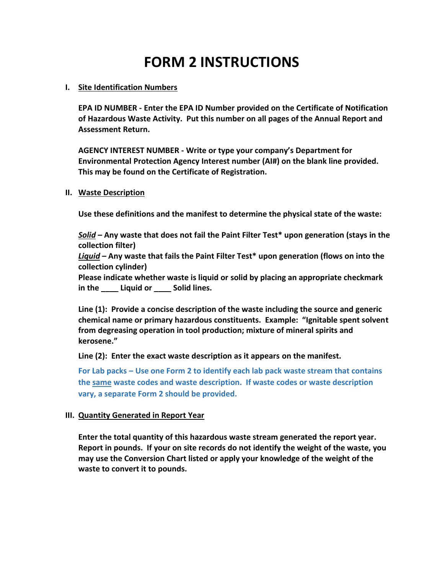# **FORM 2 INSTRUCTIONS**

### **I. Site Identification Numbers**

**EPA ID NUMBER - Enter the EPA ID Number provided on the Certificate of Notification of Hazardous Waste Activity. Put this number on all pages of the Annual Report and Assessment Return.** 

**AGENCY INTEREST NUMBER - Write or type your company's Department for Environmental Protection Agency Interest number (AI#) on the blank line provided. This may be found on the Certificate of Registration.** 

### **II. Waste Description**

**Use these definitions and the manifest to determine the physical state of the waste:**

*Solid* **– Any waste that does not fail the Paint Filter Test\* upon generation (stays in the collection filter)**

*Liquid* **– Any waste that fails the Paint Filter Test\* upon generation (flows on into the collection cylinder)**

**Please indicate whether waste is liquid or solid by placing an appropriate checkmark in the \_\_\_\_ Liquid or \_\_\_\_ Solid lines.** 

**Line (1): Provide a concise description of the waste including the source and generic chemical name or primary hazardous constituents. Example: "Ignitable spent solvent from degreasing operation in tool production; mixture of mineral spirits and kerosene."**

**Line (2): Enter the exact waste description as it appears on the manifest.**

**For Lab packs – Use one Form 2 to identify each lab pack waste stream that contains the same waste codes and waste description. If waste codes or waste description vary, a separate Form 2 should be provided.**

## **III. Quantity Generated in Report Year**

**Enter the total quantity of this hazardous waste stream generated the report year. Report in pounds. If your on site records do not identify the weight of the waste, you may use the Conversion Chart listed or apply your knowledge of the weight of the waste to convert it to pounds.**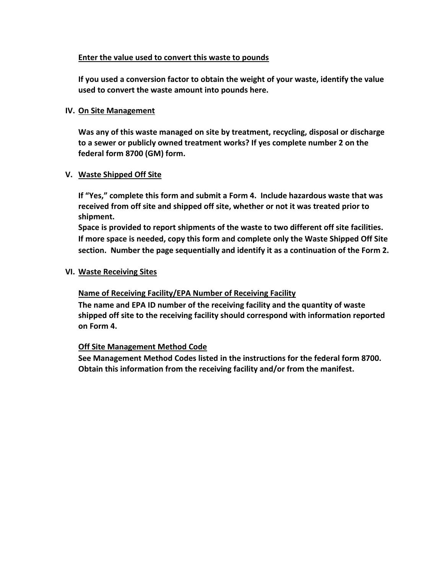## **Enter the value used to convert this waste to pounds**

**If you used a conversion factor to obtain the weight of your waste, identify the value used to convert the waste amount into pounds here.**

## **IV. On Site Management**

**Was any of this waste managed on site by treatment, recycling, disposal or discharge to a sewer or publicly owned treatment works? If yes complete number 2 on the federal form 8700 (GM) form.**

# **V. Waste Shipped Off Site**

**If "Yes," complete this form and submit a Form 4. Include hazardous waste that was received from off site and shipped off site, whether or not it was treated prior to shipment.**

**Space is provided to report shipments of the waste to two different off site facilities. If more space is needed, copy this form and complete only the Waste Shipped Off Site section. Number the page sequentially and identify it as a continuation of the Form 2.**

## **VI. Waste Receiving Sites**

# **Name of Receiving Facility/EPA Number of Receiving Facility**

**The name and EPA ID number of the receiving facility and the quantity of waste shipped off site to the receiving facility should correspond with information reported on Form 4.**

# **Off Site Management Method Code**

**See Management Method Codes listed in the instructions for the federal form 8700. Obtain this information from the receiving facility and/or from the manifest.**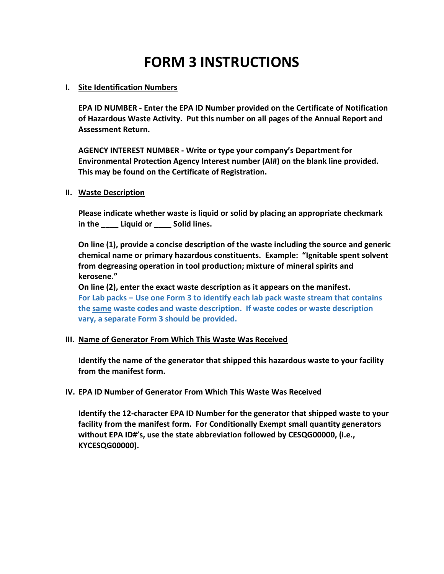# **FORM 3 INSTRUCTIONS**

## **I. Site Identification Numbers**

**EPA ID NUMBER - Enter the EPA ID Number provided on the Certificate of Notification of Hazardous Waste Activity. Put this number on all pages of the Annual Report and Assessment Return.** 

**AGENCY INTEREST NUMBER - Write or type your company's Department for Environmental Protection Agency Interest number (AI#) on the blank line provided. This may be found on the Certificate of Registration.** 

#### **II. Waste Description**

**Please indicate whether waste is liquid or solid by placing an appropriate checkmark in the \_\_\_\_ Liquid or \_\_\_\_ Solid lines.** 

**On line (1), provide a concise description of the waste including the source and generic chemical name or primary hazardous constituents. Example: "Ignitable spent solvent from degreasing operation in tool production; mixture of mineral spirits and kerosene."**

**On line (2), enter the exact waste description as it appears on the manifest. For Lab packs – Use one Form 3 to identify each lab pack waste stream that contains the same waste codes and waste description. If waste codes or waste description vary, a separate Form 3 should be provided.**

## **III. Name of Generator From Which This Waste Was Received**

**Identify the name of the generator that shipped this hazardous waste to your facility from the manifest form.**

## **IV. EPA ID Number of Generator From Which This Waste Was Received**

**Identify the 12-character EPA ID Number for the generator that shipped waste to your facility from the manifest form. For Conditionally Exempt small quantity generators without EPA ID#'s, use the state abbreviation followed by CESQG00000, (i.e., KYCESQG00000).**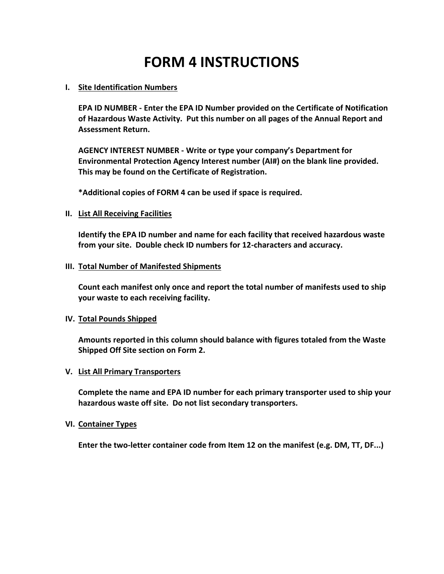# **FORM 4 INSTRUCTIONS**

### **I. Site Identification Numbers**

**EPA ID NUMBER - Enter the EPA ID Number provided on the Certificate of Notification of Hazardous Waste Activity. Put this number on all pages of the Annual Report and Assessment Return.** 

**AGENCY INTEREST NUMBER - Write or type your company's Department for Environmental Protection Agency Interest number (AI#) on the blank line provided. This may be found on the Certificate of Registration.** 

**\*Additional copies of FORM 4 can be used if space is required.**

### **II. List All Receiving Facilities**

**Identify the EPA ID number and name for each facility that received hazardous waste from your site. Double check ID numbers for 12-characters and accuracy.** 

### **III. Total Number of Manifested Shipments**

**Count each manifest only once and report the total number of manifests used to ship your waste to each receiving facility.**

#### **IV. Total Pounds Shipped**

**Amounts reported in this column should balance with figures totaled from the Waste Shipped Off Site section on Form 2.**

#### **V. List All Primary Transporters**

**Complete the name and EPA ID number for each primary transporter used to ship your hazardous waste off site. Do not list secondary transporters.** 

#### **VI. Container Types**

**Enter the two-letter container code from Item 12 on the manifest (e.g. DM, TT, DF...)**